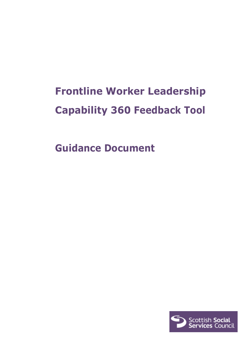# **Frontline Worker Leadership Capability 360 Feedback Tool**

**Guidance Document**

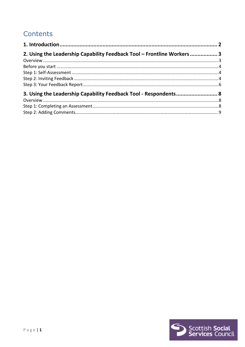# Contents

| 2. Using the Leadership Capability Feedback Tool - Frontline Workers 3 |  |
|------------------------------------------------------------------------|--|
|                                                                        |  |
|                                                                        |  |
|                                                                        |  |
|                                                                        |  |
|                                                                        |  |
| 3. Using the Leadership Capability Feedback Tool - Respondents 8       |  |
|                                                                        |  |
|                                                                        |  |
|                                                                        |  |

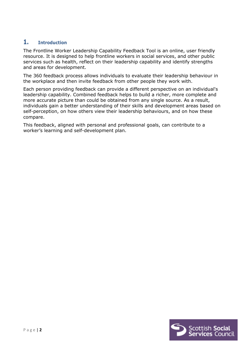# <span id="page-2-0"></span>**1. Introduction**

The Frontline Worker Leadership Capability Feedback Tool is an online, user friendly resource. It is designed to help frontline workers in social services, and other public services such as health, reflect on their leadership capability and identify strengths and areas for development.

The 360 feedback process allows individuals to evaluate their leadership behaviour in the workplace and then invite feedback from other people they work with.

Each person providing feedback can provide a different perspective on an individual's leadership capability. Combined feedback helps to build a richer, more complete and more accurate picture than could be obtained from any single source. As a result, individuals gain a better understanding of their skills and development areas based on self-perception, on how others view their leadership behaviours, and on how these compare.

This feedback, aligned with personal and professional goals, can contribute to a worker's learning and self-development plan.

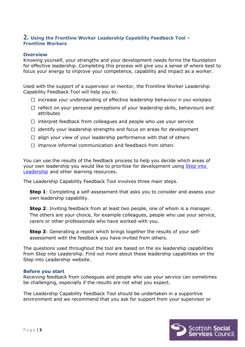### <span id="page-3-0"></span>**2. Using the Frontline Worker Leadership Capability Feedback Tool – Frontline Workers**

#### <span id="page-3-1"></span>**Overview**

Knowing yourself, your strengths and your development needs forms the foundation for effective leadership. Completing this process will give you a sense of where best to focus your energy to improve your competence, capability and impact as a worker.

Used with the support of a supervisor or mentor, the Frontline Worker Leadership Capability Feedback Tool will help you to:

- $\Box$  increase your understanding of effective leadership behaviour in your workplace
- $\Box$  reflect on your personal perceptions of your leadership skills, behaviours and attributes
- $\Box$  interpret feedback from colleagues and people who use your service
- $\Box$  identify your leadership strengths and focus on areas for development
- $\Box$  align your view of your leadership performance with that of others
- $\Box$  improve informal communication and feedback from others.

You can use the results of the feedback process to help you decide which areas of your own leadership you would like to prioritise for development using Step into [Leadership](http://www.stepintoleadership.info/) and other learning resources.

The Leadership Capability Feedback Tool involves three main steps.

**Step 1**: Completing a self-assessment that asks you to consider and assess your own leadership capability.

**Step 2**: Inviting feedback from at least two people, one of whom is a manager. The others are your choice, for example colleagues, people who use your service, carers or other professionals who have worked with you.

**Step 3**: Generating a report which brings together the results of your selfassessment with the feedback you have invited from others.

The questions used throughout the tool are based on the six leadership capabilities from Step into Leadership. Find out more about these leadership capabilities on the Step into Leadership website.

#### <span id="page-3-2"></span>**Before you start**

Receiving feedback from colleagues and people who use your service can sometimes be challenging, especially if the results are not what you expect.

The Leadership Capability Feedback Tool should be undertaken in a supportive environment and we recommend that you ask for support from your supervisor or

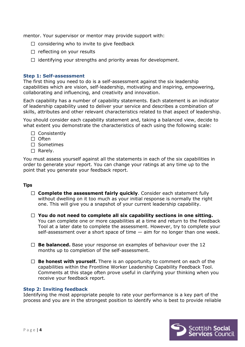mentor. Your supervisor or mentor may provide support with:

- $\Box$  considering who to invite to give feedback
- $\Box$  reflecting on your results
- $\Box$  identifying your strengths and priority areas for development.

#### <span id="page-4-0"></span>**Step 1: Self-assessment**

The first thing you need to do is a self-assessment against the six leadership capabilities which are vision, self-leadership, motivating and inspiring, empowering, collaborating and influencing, and creativity and innovation.

Each capability has a number of capability statements. Each statement is an indicator of leadership capability used to deliver your service and describes a combination of skills, attributes and other relevant characteristics related to that aspect of leadership.

You should consider each capability statement and, taking a balanced view, decide to what extent you demonstrate the characteristics of each using the following scale:

- $\Box$  Consistently
- $\Box$  Often
- □ Sometimes
- $\Box$  Rarely.

You must assess yourself against all the statements in each of the six capabilities in order to generate your report. You can change your ratings at any time up to the point that you generate your feedback report.

#### **Tips**

- □ **Complete the assessment fairly quickly**. Consider each statement fully without dwelling on it too much as your initial response is normally the right one. This will give you a snapshot of your current leadership capability.
- **You do not need to complete all six capability sections in one sitting.** You can complete one or more capabilities at a time and return to the Feedback Tool at a later date to complete the assessment. However, try to complete your self-assessment over a short space of time — aim for no longer than one week.
- **Be balanced.** Base your response on examples of behaviour over the 12 months up to completion of the self-assessment.
- □ **Be honest with yourself.** There is an opportunity to comment on each of the capabilities within the Frontline Worker Leadership Capability Feedback Tool. Comments at this stage often prove useful in clarifying your thinking when you receive your feedback report.

#### <span id="page-4-1"></span>**Step 2: Inviting feedback**

Identifying the most appropriate people to rate your performance is a key part of the process and you are in the strongest position to identify who is best to provide reliable

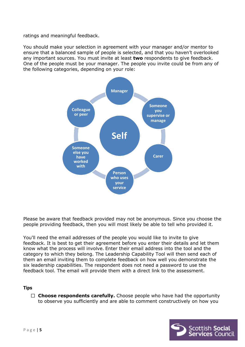ratings and meaningful feedback.

You should make your selection in agreement with your manager and/or mentor to ensure that a balanced sample of people is selected, and that you haven't overlooked any important sources. You must invite at least **two** respondents to give feedback. One of the people must be your manager. The people you invite could be from any of the following categories, depending on your role:



Please be aware that feedback provided may not be anonymous. Since you choose the people providing feedback, then you will most likely be able to tell who provided it.

You'll need the email addresses of the people you would like to invite to give feedback. It is best to get their agreement before you enter their details and let them know what the process will involve. Enter their email address into the tool and the category to which they belong. The Leadership Capability Tool will then send each of them an email inviting them to complete feedback on how well you demonstrate the six leadership capabilities. The respondent does not need a password to use the feedback tool. The email will provide them with a direct link to the assessment.

#### **Tips**

□ **Choose respondents carefully.** Choose people who have had the opportunity to observe you sufficiently and are able to comment constructively on how you

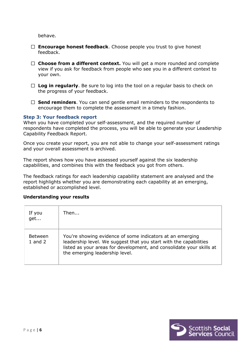behave.

- **Encourage honest feedback**. Choose people you trust to give honest feedback.
- **Choose from a different context.** You will get a more rounded and complete view if you ask for feedback from people who see you in a different context to your own.
- **Log in regularly**. Be sure to log into the tool on a regular basis to check on the progress of your feedback.
- □ **Send reminders**. You can send gentle email reminders to the respondents to encourage them to complete the assessment in a timely fashion.

#### <span id="page-6-0"></span>**Step 3: Your feedback report**

When you have completed your self-assessment, and the required number of respondents have completed the process, you will be able to generate your Leadership Capability Feedback Report.

Once you create your report, you are not able to change your self-assessment ratings and your overall assessment is archived.

The report shows how you have assessed yourself against the six leadership capabilities, and combines this with the feedback you got from others.

The feedback ratings for each leadership capability statement are analysed and the report highlights whether you are demonstrating each capability at an emerging, established or accomplished level.

#### **Understanding your results**

| If you<br>get               | Then                                                                                                                                                                                                                                     |
|-----------------------------|------------------------------------------------------------------------------------------------------------------------------------------------------------------------------------------------------------------------------------------|
| <b>Between</b><br>1 and $2$ | You're showing evidence of some indicators at an emerging<br>leadership level. We suggest that you start with the capabilities<br>listed as your areas for development, and consolidate your skills at<br>the emerging leadership level. |

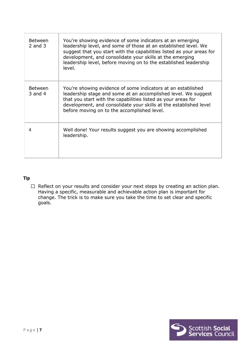| <b>Between</b><br>$2$ and $3$ | You're showing evidence of some indicators at an emerging<br>leadership level, and some of those at an established level. We<br>suggest that you start with the capabilities listed as your areas for<br>development, and consolidate your skills at the emerging<br>leadership level, before moving on to the established leadership<br>level. |
|-------------------------------|-------------------------------------------------------------------------------------------------------------------------------------------------------------------------------------------------------------------------------------------------------------------------------------------------------------------------------------------------|
| <b>Between</b><br>3 and $4$   | You're showing evidence of some indicators at an established<br>leadership stage and some at an accomplished level. We suggest<br>that you start with the capabilities listed as your areas for<br>development, and consolidate your skills at the established level<br>before moving on to the accomplished level.                             |
| 4                             | Well done! Your results suggest you are showing accomplished<br>leadership.                                                                                                                                                                                                                                                                     |

## **Tip**

 $\Box$  Reflect on your results and consider your next steps by creating an action plan. Having a specific, measurable and achievable action plan is important for change. The trick is to make sure you take the time to set clear and specific goals.

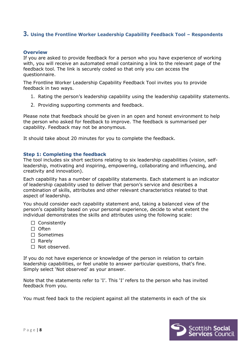# <span id="page-8-0"></span>**3. Using the Frontline Worker Leadership Capability Feedback Tool – Respondents**

#### <span id="page-8-1"></span>**Overview**

If you are asked to provide feedback for a person who you have experience of working with, you will receive an automated email containing a link to the relevant page of the feedback tool. The link is securely coded so that only you can access the questionnaire.

The Frontline Worker Leadership Capability Feedback Tool invites you to provide feedback in two ways.

- 1. Rating the person's leadership capability using the leadership capability statements.
- 2. Providing supporting comments and feedback.

Please note that feedback should be given in an open and honest environment to help the person who asked for feedback to improve. The feedback is summarised per capability. Feedback may not be anonymous.

It should take about 20 minutes for you to complete the feedback.

#### <span id="page-8-2"></span>**Step 1: Completing the feedback**

The tool includes six short sections relating to six leadership capabilities (vision, selfleadership, motivating and inspiring, empowering, collaborating and influencing, and creativity and innovation).

Each capability has a number of capability statements. Each statement is an indicator of leadership capability used to deliver that person's service and describes a combination of skills, attributes and other relevant characteristics related to that aspect of leadership.

You should consider each capability statement and, taking a balanced view of the person's capability based on your personal experience, decide to what extent the individual demonstrates the skills and attributes using the following scale:

- $\Box$  Consistently
- $\Box$  Often
- □ Sometimes
- $\Box$  Rarely
- $\Box$  Not observed.

If you do not have experience or knowledge of the person in relation to certain leadership capabilities, or feel unable to answer particular questions, that's fine. Simply select 'Not observed' as your answer.

Note that the statements refer to 'I'. This 'I' refers to the person who has invited feedback from you.

You must feed back to the recipient against all the statements in each of the six

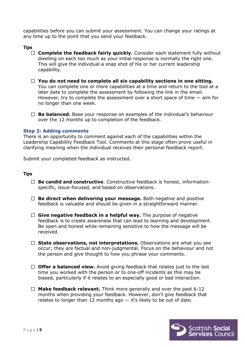capabilities before you can submit your assessment. You can change your ratings at any time up to the point that you send your feedback.

#### **Tips**

- □ **Complete the feedback fairly quickly**. Consider each statement fully without dwelling on each too much as your initial response is normally the right one. This will give the individual a snap shot of his or her current leadership capability.
- **You do not need to complete all six capability sections in one sitting.** You can complete one or more capabilities at a time and return to the tool at a later date to complete the assessment by following the link in the email. However, try to complete the assessment over a short space of time  $-$  aim for no longer than one week.
- **Be balanced.** Base your response on examples of the individual's behaviour over the 12 months up to completion of the feedback.

#### <span id="page-9-0"></span>**Step 2: Adding comments**

There is an opportunity to comment against each of the capabilities within the Leadership Capability Feedback Tool. Comments at this stage often prove useful in clarifying meaning when the individual receives their personal feedback report.

Submit your completed feedback as instructed.

#### **Tips**

- **Be candid and constructive**. Constructive feedback is honest, informationspecific, issue-focused, and based on observations.
- **Be direct when delivering your message.** Both negative and positive feedback is valuable and should be given in a straightforward manner.
- **Give negative feedback in a helpful way.** The purpose of negative feedback is to create awareness that can lead to learning and development. Be open and honest while remaining sensitive to how the message will be received.
- □ State observations, not interpretations. Observations are what you see occur; they are factual and non-judgmental. Focus on the behaviour and not the person and give thought to how you phrase your comments.
- □ **Offer a balanced view.** Avoid giving feedback that relates just to the last time you worked with the person or to one-off incidents as this may be biased, particularly if it relates to an especially good or bad interaction.
- $\Box$  **Make feedback relevant.** Think more generally and over the past 6-12 months when providing your feedback. However, don't give feedback that relates to longer than 12 months ago  $-$  it's likely to be out of date.